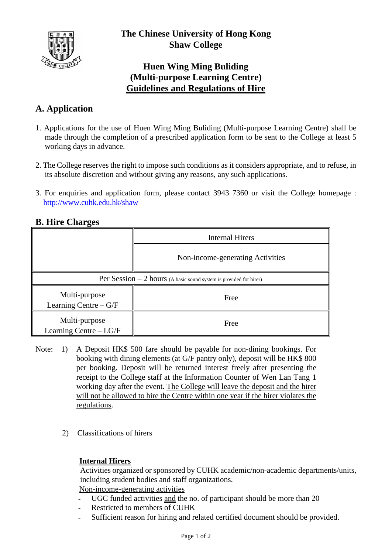

## **Huen Wing Ming Buliding (Multi-purpose Learning Centre) Guidelines and Regulations of Hire**

# **A. Application**

- 1. Applications for the use of Huen Wing Ming Buliding (Multi-purpose Learning Centre) shall be made through the completion of a prescribed application form to be sent to the College at least 5 working days in advance.
- 2. The College reserves the right to impose such conditions as it considers appropriate, and to refuse, in its absolute discretion and without giving any reasons, any such applications.
- 3. For enquiries and application form, please contact 3943 7360 or visit the College homepage : <http://www.cuhk.edu.hk/shaw>

### **B. Hire Charges**

|                                                                     | <b>Internal Hirers</b>           |
|---------------------------------------------------------------------|----------------------------------|
|                                                                     | Non-income-generating Activities |
| Per Session $-2$ hours (A basic sound system is provided for hirer) |                                  |
| Multi-purpose<br>Learning Centre $-G/F$                             | Free                             |
| Multi-purpose<br>Learning Centre - LG/F                             | Free                             |

- Note: 1) A Deposit HK\$ 500 fare should be payable for non-dining bookings. For booking with dining elements (at G/F pantry only), deposit will be HK\$ 800 per booking. Deposit will be returned interest freely after presenting the receipt to the College staff at the Information Counter of Wen Lan Tang 1 working day after the event. The College will leave the deposit and the hirer will not be allowed to hire the Centre within one year if the hirer violates the regulations.
	- 2) Classifications of hirers

#### **Internal Hirers**

Activities organized or sponsored by CUHK academic/non-academic departments/units, including student bodies and staff organizations. Non-income-generating activities

- UGC funded activities and the no. of participant should be more than 20
- Restricted to members of CUHK
- Sufficient reason for hiring and related certified document should be provided.